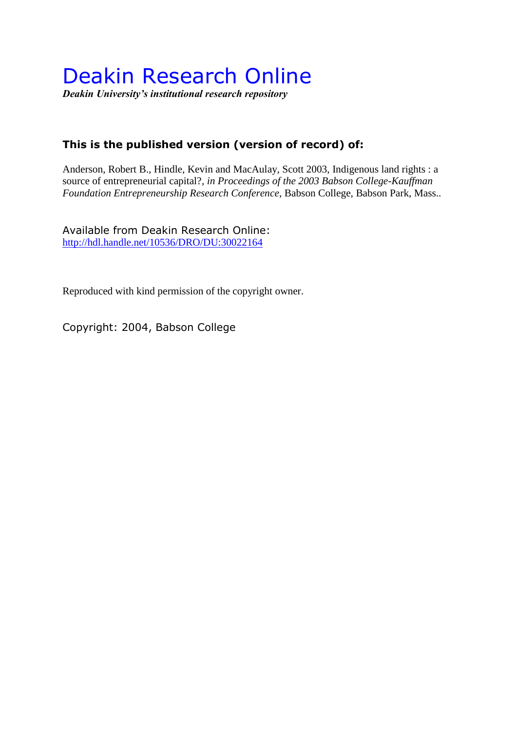# Deakin Research Online

*Deakin University's institutional research repository*

## **This is the published version (version of record) of:**

Anderson, Robert B., Hindle, Kevin and MacAulay, Scott 2003, Indigenous land rights : a source of entrepreneurial capital?*, in Proceedings of the 2003 Babson College-Kauffman Foundation Entrepreneurship Research Conference*, Babson College, Babson Park, Mass..

Available from Deakin Research Online: <http://hdl.handle.net/10536/DRO/DU:30022164>

Reproduced with kind permission of the copyright owner.

Copyright: 2004, Babson College